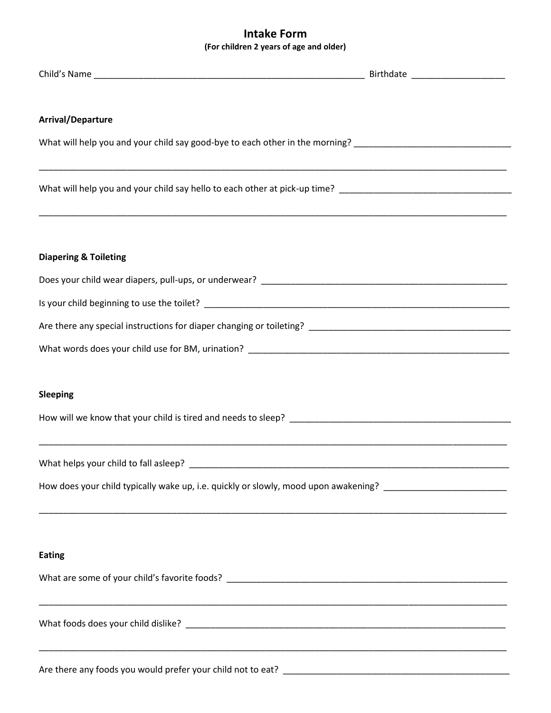## **Intake Form (For children 2 years of age and older)**

| <b>Arrival/Departure</b>                                                                                                  |  |
|---------------------------------------------------------------------------------------------------------------------------|--|
| What will help you and your child say good-bye to each other in the morning? _________________________________            |  |
| What will help you and your child say hello to each other at pick-up time? ___________________________________            |  |
| <b>Diapering &amp; Toileting</b>                                                                                          |  |
|                                                                                                                           |  |
|                                                                                                                           |  |
|                                                                                                                           |  |
|                                                                                                                           |  |
| <b>Sleeping</b>                                                                                                           |  |
|                                                                                                                           |  |
| ,我们也不能在这里,我们的人们也不能在这里,我们也不能会在这里,我们也不能会在这里,我们也不能会在这里,我们也不能会不能会不能会。""我们,我们也不能会不能会不<br>What helps your child to fall asleep? |  |
| How does your child typically wake up, i.e. quickly or slowly, mood upon awakening? __________________________            |  |
|                                                                                                                           |  |
| <b>Eating</b>                                                                                                             |  |
|                                                                                                                           |  |
|                                                                                                                           |  |
|                                                                                                                           |  |